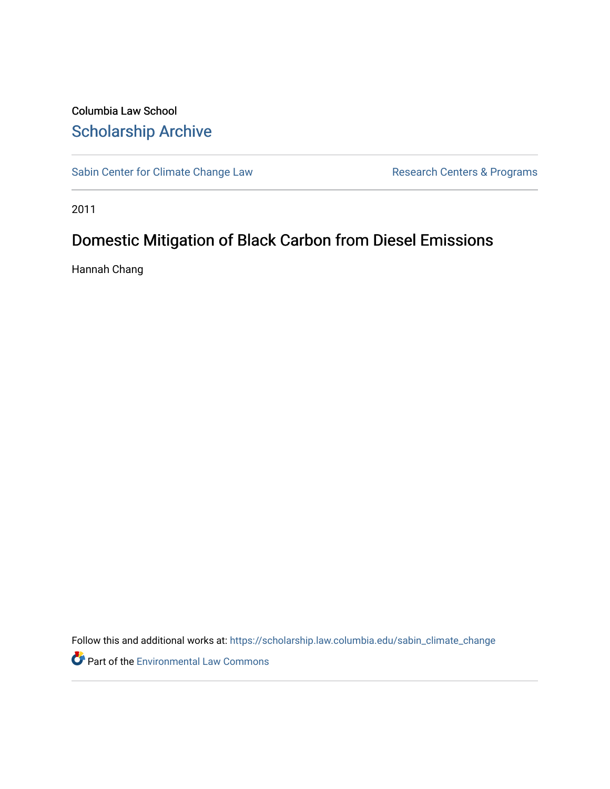# Columbia Law School [Scholarship Archive](https://scholarship.law.columbia.edu/)

[Sabin Center for Climate Change Law](https://scholarship.law.columbia.edu/sabin_climate_change) Research Centers & Programs

2011

# Domestic Mitigation of Black Carbon from Diesel Emissions

Hannah Chang

Follow this and additional works at: [https://scholarship.law.columbia.edu/sabin\\_climate\\_change](https://scholarship.law.columbia.edu/sabin_climate_change?utm_source=scholarship.law.columbia.edu%2Fsabin_climate_change%2F166&utm_medium=PDF&utm_campaign=PDFCoverPages) 

Part of the [Environmental Law Commons](http://network.bepress.com/hgg/discipline/599?utm_source=scholarship.law.columbia.edu%2Fsabin_climate_change%2F166&utm_medium=PDF&utm_campaign=PDFCoverPages)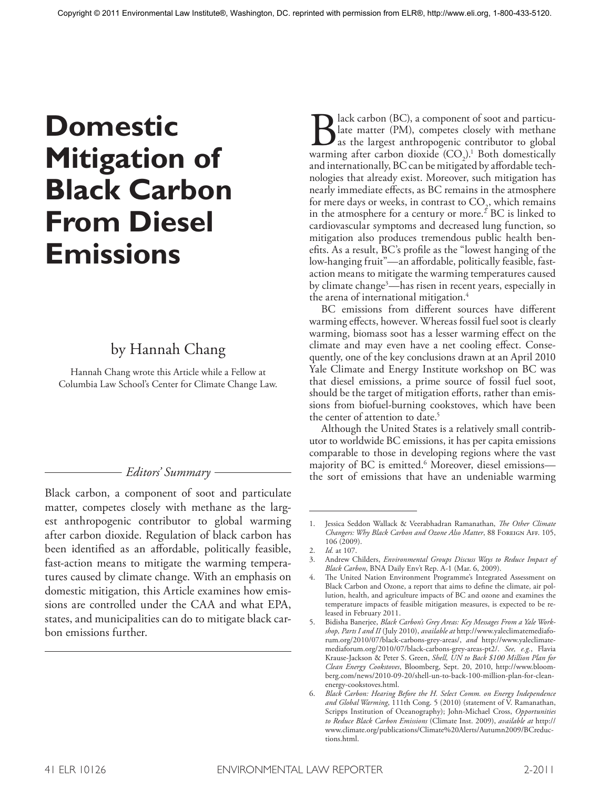# **Domestic Mitigation of Black Carbon From Diesel Emissions**

# by Hannah Chang

Hannah Chang wrote this Article while a Fellow at Columbia Law School's Center for Climate Change Law.

# *Editors' Summary*

Black carbon, a component of soot and particulate matter, competes closely with methane as the largest anthropogenic contributor to global warming after carbon dioxide. Regulation of black carbon has been identified as an affordable, politically feasible, fast-action means to mitigate the warming temperatures caused by climate change. With an emphasis on domestic mitigation, this Article examines how emissions are controlled under the CAA and what EPA, states, and municipalities can do to mitigate black carbon emissions further.

Black carbon (BC), a component of soot and particu-<br>late matter (PM), competes closely with methane<br>as the largest anthropogenic contributor to global<br>warming after carbon dioxide (CO<sub>2</sub>).<sup>1</sup> Both domestically late matter (PM), competes closely with methane as the largest anthropogenic contributor to global warming after carbon dioxide  $(CO_2)^1$ . Both domestically and internationally, BC can be mitigated by affordable technologies that already exist. Moreover, such mitigation has nearly immediate effects, as BC remains in the atmosphere for mere days or weeks, in contrast to  $CO_{2}$ , which remains in the atmosphere for a century or more. 2 BC is linked to cardiovascular symptoms and decreased lung function, so mitigation also produces tremendous public health benefits. As a result, BC's profile as the "lowest hanging of the low-hanging fruit"—an affordable, politically feasible, fastaction means to mitigate the warming temperatures caused by climate change3 —has risen in recent years, especially in the arena of international mitigation. 4

BC emissions from different sources have different warming effects, however. Whereas fossil fuel soot is clearly warming, biomass soot has a lesser warming effect on the climate and may even have a net cooling effect. Consequently, one of the key conclusions drawn at an April 2010 Yale Climate and Energy Institute workshop on BC was that diesel emissions, a prime source of fossil fuel soot, should be the target of mitigation efforts, rather than emissions from biofuel-burning cookstoves, which have been the center of attention to date. 5

Although the United States is a relatively small contributor to worldwide BC emissions, it has per capita emissions comparable to those in developing regions where the vast majority of BC is emitted. 6 Moreover, diesel emissions the sort of emissions that have an undeniable warming

<sup>1.</sup> Jessica Seddon Wallack & Veerabhadran Ramanathan, *The Other Climate Changers: Why Black Carbon and Ozone Also Matter*, 88 Foreign Aff. 105, 106 (2009).

<sup>2.</sup> *Id.* at 107.

<sup>3.</sup> Andrew Childers, *Environmental Groups Discuss Ways to Reduce Impact of Black Carbon*, BNA Daily Env't Rep. A-1 (Mar. 6, 2009).

<sup>4.</sup> The United Nation Environment Programme's Integrated Assessment on Black Carbon and Ozone, a report that aims to define the climate, air pollution, health, and agriculture impacts of BC and ozone and examines the temperature impacts of feasible mitigation measures, is expected to be released in February 2011.

<sup>5.</sup> Bidisha Banerjee, *Black Carbon's Grey Areas: Key Messages From a Yale Workshop, Parts I and II* (July 2010), *available at* http://www.yaleclimatemediaforum.org/2010/07/black-carbons-grey-areas/, *and* http://www.yaleclimatemediaforum.org/2010/07/black-carbons-grey-areas-pt2/. *See, e.g.*, Flavia Krause-Jackson & Peter S. Green, *Shell, UN to Back \$100 Million Plan for Clean Energy Cookstoves*, Bloomberg, Sept. 20, 2010, http://www.bloomberg.com/news/2010-09-20/shell-un-to-back-100-million-plan-for-cleanenergy-cookstoves.html.

<sup>6.</sup> *Black Carbon: Hearing Before the H. Select Comm. on Energy Independence and Global Warming*, 111th Cong. 5 (2010) (statement of V. Ramanathan, Scripps Institution of Oceanography); John-Michael Cross, *Opportunities to Reduce Black Carbon Emissions* (Climate Inst. 2009), *available at* http:// www.climate.org/publications/Climate%20Alerts/Autumn2009/BCreductions.html.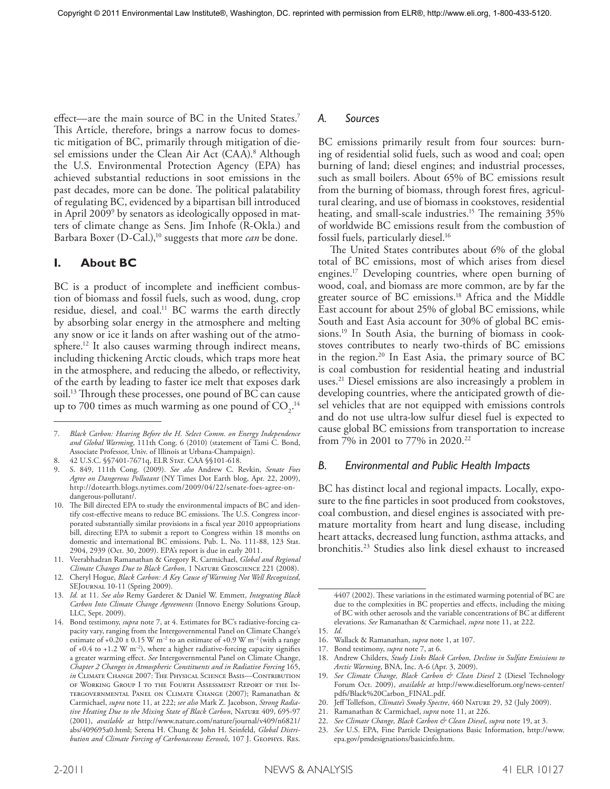effect—are the main source of BC in the United States. 7 This Article, therefore, brings a narrow focus to domestic mitigation of BC, primarily through mitigation of diesel emissions under the Clean Air Act (CAA). 8 Although the U.S. Environmental Protection Agency (EPA) has achieved substantial reductions in soot emissions in the past decades, more can be done. The political palatability of regulating BC, evidenced by a bipartisan bill introduced in April 2009<sup>9</sup> by senators as ideologically opposed in matters of climate change as Sens. Jim Inhofe (R-Okla.) and Barbara Boxer (D-Cal.), 10 suggests that more *can* be done.

#### **I. About BC**

BC is a product of incomplete and inefficient combustion of biomass and fossil fuels, such as wood, dung, crop residue, diesel, and coal. 11 BC warms the earth directly by absorbing solar energy in the atmosphere and melting any snow or ice it lands on after washing out of the atmosphere. 12 It also causes warming through indirect means, including thickening Arctic clouds, which traps more heat in the atmosphere, and reducing the albedo, or reflectivity, of the earth by leading to faster ice melt that exposes dark soil. 13 Through these processes, one pound of BC can cause up to 700 times as much warming as one pound of  $CO_2$ .<sup>14</sup>

8. 42 U.S.C. §§7401-7671q, ELR Stat. CAA §§101-618.

## *A. Sources*

BC emissions primarily result from four sources: burning of residential solid fuels, such as wood and coal; open burning of land; diesel engines; and industrial processes, such as small boilers. About 65% of BC emissions result from the burning of biomass, through forest fires, agricultural clearing, and use of biomass in cookstoves, residential heating, and small-scale industries. 15 The remaining 35% of worldwide BC emissions result from the combustion of fossil fuels, particularly diesel. 16

The United States contributes about 6% of the global total of BC emissions, most of which arises from diesel engines. 17 Developing countries, where open burning of wood, coal, and biomass are more common, are by far the greater source of BC emissions. 18 Africa and the Middle East account for about 25% of global BC emissions, while South and East Asia account for 30% of global BC emissions. 19 In South Asia, the burning of biomass in cookstoves contributes to nearly two-thirds of BC emissions in the region. 20 In East Asia, the primary source of BC is coal combustion for residential heating and industrial uses. 21 Diesel emissions are also increasingly a problem in developing countries, where the anticipated growth of diesel vehicles that are not equipped with emissions controls and do not use ultra-low sulfur diesel fuel is expected to cause global BC emissions from transportation to increase from 7% in 2001 to 77% in 2020. 22

#### *B. Environmental and Public Health Impacts*

BC has distinct local and regional impacts. Locally, exposure to the fine particles in soot produced from cookstoves, coal combustion, and diesel engines is associated with premature mortality from heart and lung disease, including heart attacks, decreased lung function, asthma attacks, and bronchitis. 23 Studies also link diesel exhaust to increased

22. *See Climate Change, Black Carbon & Clean Diesel*, *supra* note 19, at 3.

<sup>7.</sup> *Black Carbon: Hearing Before the H. Select Comm. on Energy Independence and Global Warming*, 111th Cong. 6 (2010) (statement of Tami C. Bond, Associate Professor, Univ. of Illinois at Urbana-Champaign).

<sup>9.</sup> S. 849, 111th Cong. (2009). *See also* Andrew C. Revkin, *Senate Foes Agree on Dangerous Pollutant* (NY Times Dot Earth blog, Apr. 22, 2009), http://dotearth.blogs.nytimes.com/2009/04/22/senate-foes-agree-ondangerous-pollutant/.

<sup>10.</sup> The Bill directed EPA to study the environmental impacts of BC and identify cost-effective means to reduce BC emissions. The U.S. Congress incorporated substantially similar provisions in a fiscal year 2010 appropriations bill, directing EPA to submit a report to Congress within 18 months on domestic and international BC emissions. Pub. L. No. 111-88, 123 Stat. 2904, 2939 (Oct. 30, 2009). EPA's report is due in early 2011.

<sup>11.</sup> Veerabhadran Ramanathan & Gregory R. Carmichael, *Global and Regional Climate Changes Due to Black Carbon*, 1 Nature Geoscience 221 (2008).

<sup>12.</sup> Cheryl Hogue, *Black Carbon: A Key Cause of Warming Not Well Recognized*, SEJournal 10-11 (Spring 2009).

<sup>13.</sup> *Id.* at 11. *See also* Remy Garderet & Daniel W. Emmett, *Integrating Black Carbon Into Climate Change Agreements* (Innovo Energy Solutions Group, LLC, Sept. 2009).

<sup>14.</sup> Bond testimony, *supra* note 7, at 4. Estimates for BC's radiative-forcing capacity vary, ranging from the Intergovernmental Panel on Climate Change's estimate of  $+0.20 \pm 0.15$  W m<sup>-2</sup> to an estimate of  $+0.9$  W m<sup>-2</sup> (with a range of  $+0.4$  to  $+1.2$  W m<sup>-2</sup>), where a higher radiative-forcing capacity signifies a greater warming effect. *See* Intergovernmental Panel on Climate Change, *Chapter 2 Changes in Atmospheric Constituents and in Radiative Forcing* 165, *in* Climate Change 2007: The Physical Science Basis—Contribution of Working Group I to the Fourth Assessment Report of the Intergovernmental Panel on Climate Change (2007); Ramanathan & Carmichael, *supra* note 11, at 222; *see also* Mark Z. Jacobson, *Strong Radiative Heating Due to the Mixing State of Black Carbon*, Nature 409, 695-97 (2001), *available at* http://www.nature.com/nature/journal/v409/n6821/ abs/409695a0.html; Serena H. Chung & John H. Seinfeld, *Global Distribution and Climate Forcing of Carbonaceous Eerosols*, 107 J. Geophys. Res.

<sup>4407 (2002).</sup> These variations in the estimated warming potential of BC are due to the complexities in BC properties and effects, including the mixing of BC with other aerosols and the variable concentrations of BC at different elevations. *See* Ramanathan & Carmichael, *supra* note 11, at 222.

<sup>15.</sup> *Id.*

<sup>16.</sup> Wallack & Ramanathan, *supra* note 1, at 107.

<sup>17.</sup> Bond testimony, *supra* note 7, at 6.

<sup>18.</sup> Andrew Childers, *Study Links Black Carbon, Decline in Sulfate Emissions to Arctic Warming*, BNA, Inc. A-6 (Apr. 3, 2009).

<sup>19.</sup> *See Climate Change, Black Carbon & Clean Diesel* 2 (Diesel Technology Forum Oct. 2009), *available at* http://www.dieselforum.org/news-center/ pdfs/Black%20Carbon\_FINAL.pdf.

<sup>20.</sup> Jeff Tollefson, *Climate's Smoky Spectre*, 460 Nature 29, 32 (July 2009).

<sup>21.</sup> Ramanathan & Carmichael, *supra* note 11, at 226.

<sup>23.</sup> *See* U.S. EPA, Fine Particle Designations Basic Information, http://www. epa.gov/pmdesignations/basicinfo.htm.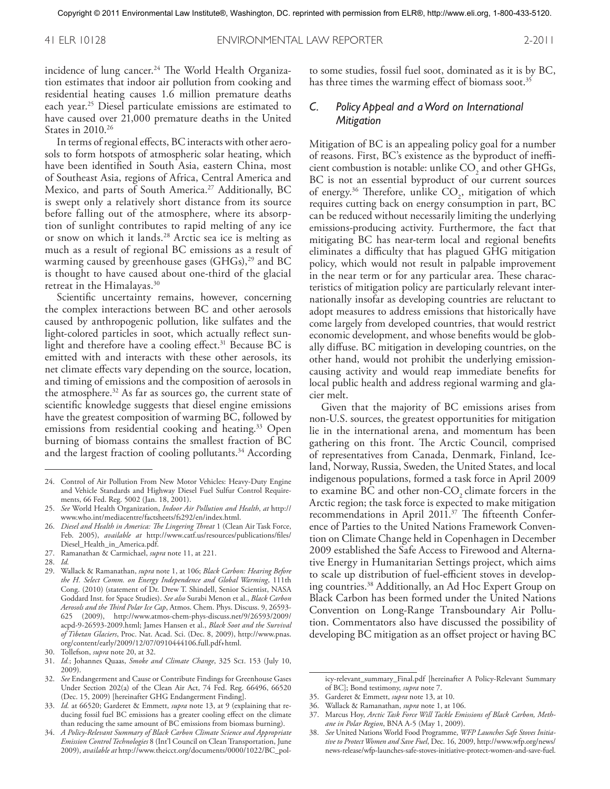incidence of lung cancer. 24 The World Health Organization estimates that indoor air pollution from cooking and residential heating causes 1.6 million premature deaths each year. 25 Diesel particulate emissions are estimated to have caused over 21,000 premature deaths in the United States in 2010. 26

In terms of regional effects, BC interacts with other aerosols to form hotspots of atmospheric solar heating, which have been identified in South Asia, eastern China, most of Southeast Asia, regions of Africa, Central America and Mexico, and parts of South America. 27 Additionally, BC is swept only a relatively short distance from its source before falling out of the atmosphere, where its absorption of sunlight contributes to rapid melting of any ice or snow on which it lands. 28 Arctic sea ice is melting as much as a result of regional BC emissions as a result of warming caused by greenhouse gases  $(GHGs),<sup>29</sup>$  and BC is thought to have caused about one-third of the glacial retreat in the Himalayas. 30

Scientific uncertainty remains, however, concerning the complex interactions between BC and other aerosols caused by anthropogenic pollution, like sulfates and the light-colored particles in soot, which actually reflect sunlight and therefore have a cooling effect. 31 Because BC is emitted with and interacts with these other aerosols, its net climate effects vary depending on the source, location, and timing of emissions and the composition of aerosols in the atmosphere. 32 As far as sources go, the current state of scientific knowledge suggests that diesel engine emissions have the greatest composition of warming BC, followed by emissions from residential cooking and heating. 33 Open burning of biomass contains the smallest fraction of BC and the largest fraction of cooling pollutants. 34 According to some studies, fossil fuel soot, dominated as it is by BC, has three times the warming effect of biomass soot. 35

### *C. Policy Appeal and a Word on International Mitigation*

Mitigation of BC is an appealing policy goal for a number of reasons. First, BC's existence as the byproduct of inefficient combustion is notable: unlike  $CO<sub>2</sub>$  and other GHGs, BC is not an essential byproduct of our current sources of energy.<sup>36</sup> Therefore, unlike  $CO<sub>2</sub>$ , mitigation of which requires cutting back on energy consumption in part, BC can be reduced without necessarily limiting the underlying emissions-producing activity. Furthermore, the fact that mitigating BC has near-term local and regional benefits eliminates a difficulty that has plagued GHG mitigation policy, which would not result in palpable improvement in the near term or for any particular area. These characteristics of mitigation policy are particularly relevant internationally insofar as developing countries are reluctant to adopt measures to address emissions that historically have come largely from developed countries, that would restrict economic development, and whose benefits would be globally diffuse. BC mitigation in developing countries, on the other hand, would not prohibit the underlying emissioncausing activity and would reap immediate benefits for local public health and address regional warming and glacier melt.

Given that the majority of BC emissions arises from non-U.S. sources, the greatest opportunities for mitigation lie in the international arena, and momentum has been gathering on this front. The Arctic Council, comprised of representatives from Canada, Denmark, Finland, Iceland, Norway, Russia, Sweden, the United States, and local indigenous populations, formed a task force in April 2009 to examine  $BC$  and other non- $CO<sub>2</sub>$  climate forcers in the Arctic region; the task force is expected to make mitigation recommendations in April 2011. 37 The fifteenth Conference of Parties to the United Nations Framework Convention on Climate Change held in Copenhagen in December 2009 established the Safe Access to Firewood and Alternative Energy in Humanitarian Settings project, which aims to scale up distribution of fuel-efficient stoves in developing countries. 38 Additionally, an Ad Hoc Expert Group on Black Carbon has been formed under the United Nations Convention on Long-Range Transboundary Air Pollution. Commentators also have discussed the possibility of developing BC mitigation as an offset project or having BC

icy-relevant\_summary\_Final.pdf [hereinafter A Policy-Relevant Summary of BC]; Bond testimony, *supra* note 7.

36. Wallack & Ramanathan, *supra* note 1, at 106.

<sup>24.</sup> Control of Air Pollution From New Motor Vehicles: Heavy-Duty Engine and Vehicle Standards and Highway Diesel Fuel Sulfur Control Requirements, 66 Fed. Reg. 5002 (Jan. 18, 2001).

<sup>25.</sup> *See* World Health Organization, *Indoor Air Pollution and Health*, *at* http:// www.who.int/mediacentre/factsheets/fs292/en/index.html.

<sup>26.</sup> *Diesel and Health in America: The Lingering Threat* 1 (Clean Air Task Force, Feb. 2005), *available at* http://www.catf.us/resources/publications/files/ Diesel\_Health\_in\_America.pdf.

<sup>27.</sup> Ramanathan & Carmichael, *supra* note 11, at 221.

<sup>28.</sup> *Id.*

<sup>29.</sup> Wallack & Ramanathan, *supra* note 1, at 106; *Black Carbon: Hearing Before the H. Select Comm. on Energy Independence and Global Warming*, 111th Cong. (2010) (statement of Dr. Drew T. Shindell, Senior Scientist, NASA Goddard Inst. for Space Studies). *See also* Surabi Menon et al., *Black Carbon Aerosols and the Third Polar Ice Cap*, Atmos. Chem. Phys. Discuss. 9, 26593- 625 (2009), http://www.atmos-chem-phys-discuss.net/9/26593/2009/ acpd-9-26593-2009.html; James Hansen et al., *Black Soot and the Survival of Tibetan Glaciers*, Proc. Nat. Acad. Sci. (Dec. 8, 2009), http://www.pnas. org/content/early/2009/12/07/0910444106.full.pdf+html.

<sup>30.</sup> Tollefson, *supra* note 20, at 32.

<sup>31.</sup> *Id.*; Johannes Quaas, *Smoke and Climate Change*, 325 Sci. 153 (July 10, 2009).

<sup>32.</sup> *See* Endangerment and Cause or Contribute Findings for Greenhouse Gases Under Section 202(a) of the Clean Air Act, 74 Fed. Reg. 66496, 66520 (Dec. 15, 2009) [hereinafter GHG Endangerment Finding].

<sup>33.</sup> *Id.* at 66520; Garderet & Emmett, *supra* note 13, at 9 (explaining that reducing fossil fuel BC emissions has a greater cooling effect on the climate than reducing the same amount of BC emissions from biomass burning).

<sup>34.</sup> *A Policy-Relevant Summary of Black Carbon Climate Science and Appropriate Emission Control Technologies* 8 (Int'l Council on Clean Transportation, June 2009), *available at* http://www.theicct.org/documents/0000/1022/BC\_pol-

<sup>35.</sup> Garderet & Emmett, *supra* note 13, at 10.

<sup>37.</sup> Marcus Hoy, *Arctic Task Force Will Tackle Emissions of Black Carbon, Methane in Polar Region*, BNA A-5 (May 1, 2009).

<sup>38.</sup> *See* United Nations World Food Programme, *WFP Launches Safe Stoves Initiative to Protect Women and Save Fuel*, Dec. 16, 2009, http://www.wfp.org/news/ news-release/wfp-launches-safe-stoves-initiative-protect-women-and-save-fuel.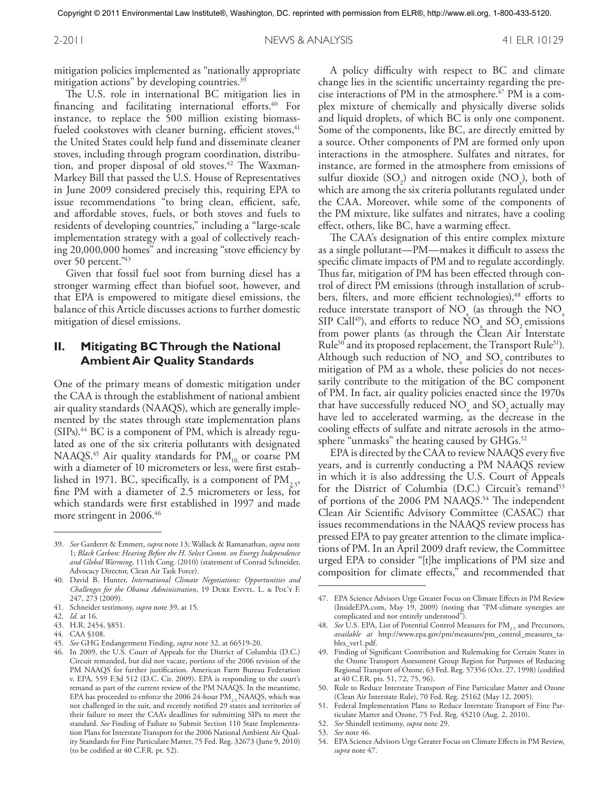mitigation policies implemented as "nationally appropriate mitigation actions" by developing countries. 39

The U.S. role in international BC mitigation lies in financing and facilitating international efforts. 40 For instance, to replace the 500 million existing biomassfueled cookstoves with cleaner burning, efficient stoves, <sup>41</sup> the United States could help fund and disseminate cleaner stoves, including through program coordination, distribution, and proper disposal of old stoves. <sup>42</sup> The Waxman-Markey Bill that passed the U.S. House of Representatives in June 2009 considered precisely this, requiring EPA to issue recommendations "to bring clean, efficient, safe, and affordable stoves, fuels, or both stoves and fuels to residents of developing countries," including a "large-scale implementation strategy with a goal of collectively reaching 20,000,000 homes" and increasing "stove efficiency by over 50 percent." 43

Given that fossil fuel soot from burning diesel has a stronger warming effect than biofuel soot, however, and that EPA is empowered to mitigate diesel emissions, the balance of this Article discusses actions to further domestic mitigation of diesel emissions.

# **II. Mitigating BC Through the National Ambient Air Quality Standards**

One of the primary means of domestic mitigation under the CAA is through the establishment of national ambient air quality standards (NAAQS), which are generally implemented by the states through state implementation plans (SIPs). 44 BC is a component of PM, which is already regulated as one of the six criteria pollutants with designated NAAQS.<sup>45</sup> Air quality standards for  $PM_{10}$  or coarse PM with a diameter of 10 micrometers or less, were first established in 1971. BC, specifically, is a component of  $\text{PM}_{2.5}$ , fine PM with a diameter of 2.5 micrometers or less, for which standards were first established in 1997 and made more stringent in 2006. 46

- 41. Schneider testimony, *supra* note 39, at 15.
- 42. *Id.* at 16.
- 43. H.R. 2454, §851.
- 44. CAA §108.
- 45. *See* GHG Endangerment Finding, *supra* note 32, at 66519-20.

A policy difficulty with respect to BC and climate change lies in the scientific uncertainty regarding the precise interactions of PM in the atmosphere. 47 PM is a complex mixture of chemically and physically diverse solids and liquid droplets, of which BC is only one component. Some of the components, like BC, are directly emitted by a source. Other components of PM are formed only upon interactions in the atmosphere. Sulfates and nitrates, for instance, are formed in the atmosphere from emissions of sulfur dioxide  $(SO_2)$  and nitrogen oxide  $(NO_x)$ , both of which are among the six criteria pollutants regulated under the CAA. Moreover, while some of the components of the PM mixture, like sulfates and nitrates, have a cooling effect, others, like BC, have a warming effect.

The CAA's designation of this entire complex mixture as a single pollutant—PM—makes it difficult to assess the specific climate impacts of PM and to regulate accordingly. Thus far, mitigation of PM has been effected through control of direct PM emissions (through installation of scrubbers, filters, and more efficient technologies),<sup>48</sup> efforts to reduce interstate transport of  $NO_x$  (as through the  $NO_x$ SIP Call<sup>49</sup>), and efforts to reduce  $NO<sub>x</sub>$  and  $SO<sub>2</sub>$  emissions from power plants (as through the Clean Air Interstate Rule<sup>50</sup> and its proposed replacement, the Transport Rule<sup>51</sup>). Although such reduction of  $NO<sub>x</sub>$  and  $SO<sub>2</sub>$  contributes to mitigation of PM as a whole, these policies do not necessarily contribute to the mitigation of the BC component of PM. In fact, air quality policies enacted since the 1970s that have successfully reduced  $NO<sub>x</sub>$  and  $SO<sub>2</sub>$  actually may have led to accelerated warming, as the decrease in the cooling effects of sulfate and nitrate aerosols in the atmosphere "unmasks" the heating caused by GHGs. $^{52}$ 

EPA is directed by the CAA to review NAAQS every five years, and is currently conducting a PM NAAQS review in which it is also addressing the U.S. Court of Appeals for the District of Columbia (D.C.) Circuit's remand<sup>53</sup> of portions of the 2006 PM NAAQS. 54 The independent Clean Air Scientific Advisory Committee (CASAC) that issues recommendations in the NAAQS review process has pressed EPA to pay greater attention to the climate implications of PM. In an April 2009 draft review, the Committee urged EPA to consider "[t]he implications of PM size and composition for climate effects," and recommended that

- 51. Federal Implementation Plans to Reduce Interstate Transport of Fine Particulate Matter and Ozone, 75 Fed. Reg. 45210 (Aug. 2, 2010).
- 52. *See* Shindell testimony, *supra* note 29.
- 53. *See* note 46.
- 54. EPA Science Advisors Urge Greater Focus on Climate Effects in PM Review, *supra* note 47.

<sup>39.</sup> *See* Garderet & Emmett, *supra* note 13; Wallack & Ramanathan, *supra* note 1; *Black Carbon: Hearing Before the H. Select Comm. on Energy Independence and Global Warming*, 111th Cong. (2010) (statement of Conrad Schneider, Advocacy Director, Clean Air Task Force).

<sup>40.</sup> David B. Hunter, *International Climate Negotiations: Opportunities and Challenges for the Obama Administration*, 19 DUKE ENVTL. L. & POL'Y F. 247, 273 (2009).

<sup>46.</sup> In 2009, the U.S. Court of Appeals for the District of Columbia (D.C.) Circuit remanded, but did not vacate, portions of the 2006 revision of the PM NAAQS for further justification. American Farm Bureau Federation v. EPA, 559 F.3d 512 (D.C. Cir. 2009). EPA is responding to the court's remand as part of the current review of the PM NAAQS. In the meantime, EPA has proceeded to enforce the 2006 24-hour  $PM_{2.5}$  NAAQS, which was not challenged in the suit, and recently notified 29 states and territories of their failure to meet the CAA's deadlines for submitting SIPs to meet the standard. *See* Finding of Failure to Submit Section 110 State Implementation Plans for Interstate Transport for the 2006 National Ambient Air Quality Standards for Fine Particulate Matter, 75 Fed. Reg. 32673 (June 9, 2010) (to be codified at 40 C.F.R. pt. 52).

<sup>47.</sup> EPA Science Advisors Urge Greater Focus on Climate Effects in PM Review (InsideEPA.com, May 19, 2009) (noting that "PM-climate synergies are complicated and not entirely understood").

<sup>48.</sup> *See* U.S. EPA, List of Potential Control Measures for PM<sub>2.5</sub> and Precursors, *available at* http://www.epa.gov/pm/measures/pm\_control\_measures\_tables\_ver1.pdf.

<sup>49.</sup> Finding of Significant Contribution and Rulemaking for Certain States in the Ozone Transport Assessment Group Region for Purposes of Reducing Regional Transport of Ozone, 63 Fed. Reg. 57356 (Oct. 27, 1998) (codified at 40 C.F.R. pts. 51, 72, 75, 96).

<sup>50.</sup> Rule to Reduce Interstate Transport of Fine Particulate Matter and Ozone (Clean Air Interstate Rule), 70 Fed. Reg. 25162 (May 12, 2005).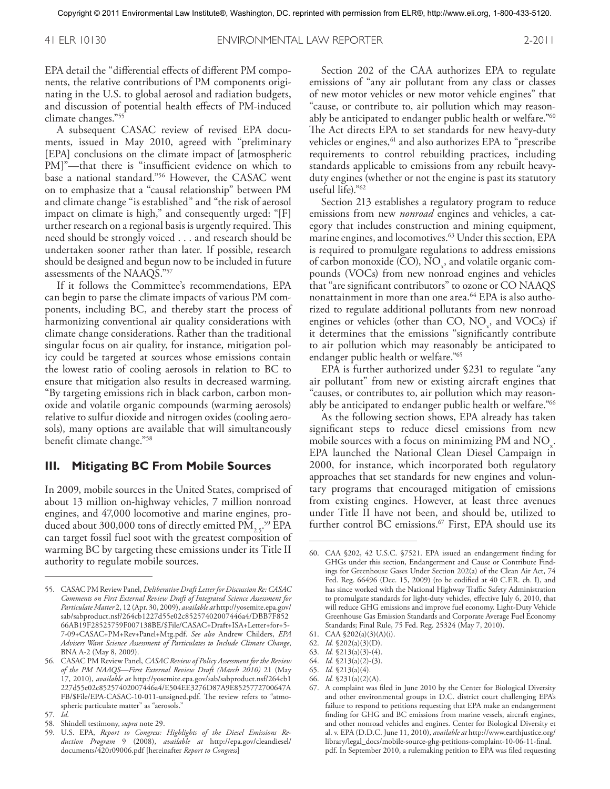EPA detail the "differential effects of different PM components, the relative contributions of PM components originating in the U.S. to global aerosol and radiation budgets, and discussion of potential health effects of PM-induced climate changes."55

A subsequent CASAC review of revised EPA documents, issued in May 2010, agreed with "preliminary [EPA] conclusions on the climate impact of [atmospheric PM]"—that there is "insufficient evidence on which to base a national standard."56 However, the CASAC went on to emphasize that a "causal relationship" between PM and climate change "is established" and "the risk of aerosol impact on climate is high," and consequently urged: "[F] urther research on a regional basis is urgently required. This need should be strongly voiced ... and research should be undertaken sooner rather than later. If possible, research should be designed and begun now to be included in future assessments of the NAAQS."57

If it follows the Committee's recommendations, EPA can begin to parse the climate impacts of various PM components, including BC, and thereby start the process of harmonizing conventional air quality considerations with climate change considerations. Rather than the traditional singular focus on air quality, for instance, mitigation policy could be targeted at sources whose emissions contain the lowest ratio of cooling aerosols in relation to BC to ensure that mitigation also results in decreased warming. "By targeting emissions rich in black carbon, carbon monoxide and volatile organic compounds (warming aerosols) relative to sulfur dioxide and nitrogen oxides (cooling aerosols), many options are available that will simultaneously benefit climate change."58

#### **III. Mitigating BC From Mobile Sources**

In 2009, mobile sources in the United States, comprised of about 13 million on-highway vehicles, 7 million nonroad engines, and 47,000 locomotive and marine engines, produced about 300,000 tons of directly emitted  $\text{PM}_{2.5}$ <sup>59</sup> EPA can target fossil fuel soot with the greatest composition of warming BC by targeting these emissions under its Title II authority to regulate mobile sources.

Section 202 of the CAA authorizes EPA to regulate emissions of "any air pollutant from any class or classes of new motor vehicles or new motor vehicle engines" that "cause, or contribute to, air pollution which may reasonably be anticipated to endanger public health or welfare."60 The Act directs EPA to set standards for new heavy-duty vehicles or engines,<sup>61</sup> and also authorizes EPA to "prescribe requirements to control rebuilding practices, including standards applicable to emissions from any rebuilt heavyduty engines (whether or not the engine is past its statutory useful life)."62

Section 213 establishes a regulatory program to reduce emissions from new *nonroad* engines and vehicles, a category that includes construction and mining equipment, marine engines, and locomotives. 63 Under this section, EPA is required to promulgate regulations to address emissions of carbon monoxide (CO),  $NO<sub>x</sub>$ , and volatile organic compounds (VOCs) from new nonroad engines and vehicles that "are significant contributors" to ozone or CO NAAQS nonattainment in more than one area. 64 EPA is also authorized to regulate additional pollutants from new nonroad engines or vehicles (other than  $CO$ ,  $NO_x$ , and  $VOCs$ ) if it determines that the emissions "significantly contribute to air pollution which may reasonably be anticipated to endanger public health or welfare."65

EPA is further authorized under §231 to regulate "any air pollutant" from new or existing aircraft engines that "causes, or contributes to, air pollution which may reasonably be anticipated to endanger public health or welfare."<sup>66</sup>

As the following section shows, EPA already has taken significant steps to reduce diesel emissions from new mobile sources with a focus on minimizing PM and  $NO_x$ . EPA launched the National Clean Diesel Campaign in 2000, for instance, which incorporated both regulatory approaches that set standards for new engines and voluntary programs that encouraged mitigation of emissions from existing engines. However, at least three avenues under Title II have not been, and should be, utilized to further control BC emissions. 67 First, EPA should use its

- 64. *Id.* §213(a)(2)-(3).
- 65. *Id.* §213(a)(4).

<sup>55.</sup> CASAC PM Review Panel, *Deliberative Draft Letter for Discussion Re: CASAC Comments on First External Review Draft of Integrated Science Assessment for Particulate Matter* 2, 12 (Apr. 30, 2009), *available at* http://yosemite.epa.gov/ sab/sabproduct.nsf/264cb1227d55e02c85257402007446a4/DBB7F852 66AB19F28525759F007138BE/\$File/CASAC+Draft+ISA+Letter+for+5- 7-09+CASAC+PM+Rev+Panel+Mtg.pdf. *See also* Andrew Childers, *EPA Advisers Want Science Assessment of Particulates to Include Climate Change*, BNA A-2 (May 8, 2009).

<sup>56.</sup> CASAC PM Review Panel, *CASAC Review of Policy Assessment for the Review of the PM NAAQS—First External Review Draft (March 2010)* 21 (May 17, 2010), *available at* http://yosemite.epa.gov/sab/sabproduct.nsf/264cb1 227d55e02c85257402007446a4/E504EE3276D87A9E8525772700647A FB/\$File/EPA-CASAC-10-011-unsigned.pdf. The review refers to "atmospheric particulate matter" as "aerosols."

<sup>57.</sup> *Id.*

<sup>58.</sup> Shindell testimony, *supra* note 29.

<sup>59.</sup> U.S. EPA, *Report to Congress: Highlights of the Diesel Emissions Reduction Program* 9 (2008), *available at* http://epa.gov/cleandiesel/ documents/420r09006.pdf [hereinafter *Report to Congress*]

<sup>60.</sup> CAA §202, 42 U.S.C. §7521. EPA issued an endangerment finding for GHGs under this section, Endangerment and Cause or Contribute Findings for Greenhouse Gases Under Section 202(a) of the Clean Air Act, 74 Fed. Reg. 66496 (Dec. 15, 2009) (to be codified at 40 C.F.R. ch. I), and has since worked with the National Highway Traffic Safety Administration to promulgate standards for light-duty vehicles, effective July 6, 2010, that will reduce GHG emissions and improve fuel economy. Light-Duty Vehicle Greenhouse Gas Emission Standards and Corporate Average Fuel Economy Standards; Final Rule, 75 Fed. Reg. 25324 (May 7, 2010).

<sup>61.</sup> CAA §202(a)(3)(A)(i).

<sup>62.</sup> *Id.* §202(a)(3)(D).

<sup>63.</sup> *Id.* §213(a)(3)-(4).

<sup>66.</sup> *Id.* §231(a)(2)(A).

<sup>67.</sup> A complaint was filed in June 2010 by the Center for Biological Diversity and other environmental groups in D.C. district court challenging EPA's failure to respond to petitions requesting that EPA make an endangerment finding for GHG and BC emissions from marine vessels, aircraft engines, and other nonroad vehicles and engines. Center for Biological Diversity et al. v. EPA (D.D.C. June 11, 2010), *available at* http://www.earthjustice.org/ library/legal\_docs/mobile-source-ghg-petitions-complaint-10-06-11-final. pdf. In September 2010, a rulemaking petition to EPA was filed requesting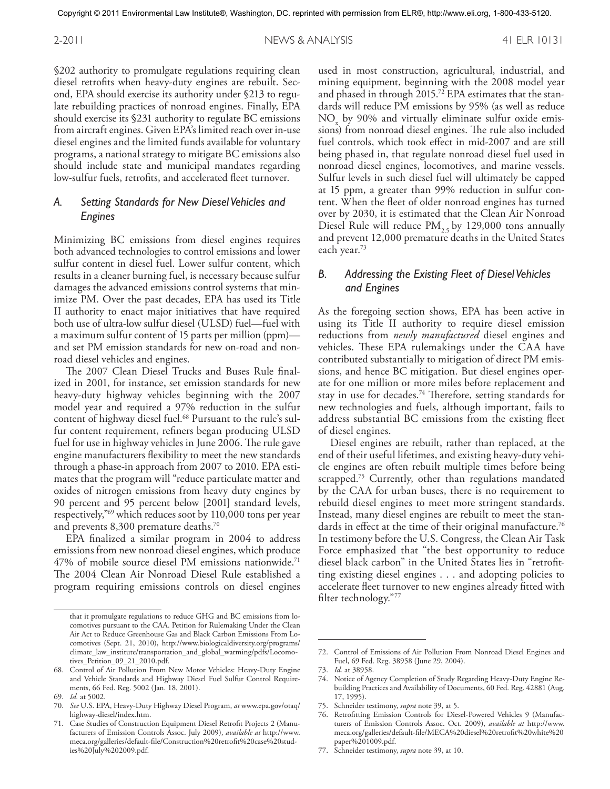§202 authority to promulgate regulations requiring clean diesel retrofits when heavy-duty engines are rebuilt. Second, EPA should exercise its authority under §213 to regulate rebuilding practices of nonroad engines. Finally, EPA should exercise its §231 authority to regulate BC emissions from aircraft engines. Given EPA's limited reach over in-use diesel engines and the limited funds available for voluntary programs, a national strategy to mitigate BC emissions also should include state and municipal mandates regarding low-sulfur fuels, retrofits, and accelerated fleet turnover.

# *A. Setting Standards for New Diesel Vehicles and Engines*

Minimizing BC emissions from diesel engines requires both advanced technologies to control emissions and lower sulfur content in diesel fuel. Lower sulfur content, which results in a cleaner burning fuel, is necessary because sulfur damages the advanced emissions control systems that minimize PM. Over the past decades, EPA has used its Title II authority to enact major initiatives that have required both use of ultra-low sulfur diesel (ULSD) fuel—fuel with a maximum sulfur content of 15 parts per million (ppm) and set PM emission standards for new on-road and nonroad diesel vehicles and engines.

The 2007 Clean Diesel Trucks and Buses Rule finalized in 2001, for instance, set emission standards for new heavy-duty highway vehicles beginning with the 2007 model year and required a 97% reduction in the sulfur content of highway diesel fuel. 68 Pursuant to the rule's sulfur content requirement, refiners began producing ULSD fuel for use in highway vehicles in June 2006. The rule gave engine manufacturers flexibility to meet the new standards through a phase-in approach from 2007 to 2010. EPA estimates that the program will "reduce particulate matter and oxides of nitrogen emissions from heavy duty engines by 90 percent and 95 percent below [2001] standard levels, respectively,"69 which reduces soot by 110,000 tons per year and prevents 8,300 premature deaths. $^{70}$ 

EPA finalized a similar program in 2004 to address emissions from new nonroad diesel engines, which produce 47% of mobile source diesel PM emissions nationwide. 71 The 2004 Clean Air Nonroad Diesel Rule established a program requiring emissions controls on diesel engines

used in most construction, agricultural, industrial, and mining equipment, beginning with the 2008 model year and phased in through 2015. 72 EPA estimates that the standards will reduce PM emissions by 95% (as well as reduce  $NO<sub>x</sub>$  by 90% and virtually eliminate sulfur oxide emissions) from nonroad diesel engines. The rule also included fuel controls, which took effect in mid-2007 and are still being phased in, that regulate nonroad diesel fuel used in nonroad diesel engines, locomotives, and marine vessels. Sulfur levels in such diesel fuel will ultimately be capped at 15 ppm, a greater than 99% reduction in sulfur content. When the fleet of older nonroad engines has turned over by 2030, it is estimated that the Clean Air Nonroad Diesel Rule will reduce  $PM_{2.5}$  by 129,000 tons annually and prevent 12,000 premature deaths in the United States each year. 73

# *B. Addressing the Existing Fleet of Diesel Vehicles and Engines*

As the foregoing section shows, EPA has been active in using its Title II authority to require diesel emission reductions from *newly manufactured* diesel engines and vehicles. These EPA rulemakings under the CAA have contributed substantially to mitigation of direct PM emissions, and hence BC mitigation. But diesel engines operate for one million or more miles before replacement and stay in use for decades. 74 Therefore, setting standards for new technologies and fuels, although important, fails to address substantial BC emissions from the existing fleet of diesel engines.

Diesel engines are rebuilt, rather than replaced, at the end of their useful lifetimes, and existing heavy-duty vehicle engines are often rebuilt multiple times before being scrapped. 75 Currently, other than regulations mandated by the CAA for urban buses, there is no requirement to rebuild diesel engines to meet more stringent standards. Instead, many diesel engines are rebuilt to meet the standards in effect at the time of their original manufacture. $^{76}$ In testimony before the U.S. Congress, the Clean Air Task Force emphasized that "the best opportunity to reduce diesel black carbon" in the United States lies in "retrofitting existing diesel engines ... and adopting policies to accelerate fleet turnover to new engines already fitted with filter technology."77

75. Schneider testimony, *supra* note 39, at 5.

77. Schneider testimony, *supra* note 39, at 10.

that it promulgate regulations to reduce GHG and BC emissions from locomotives pursuant to the CAA. Petition for Rulemaking Under the Clean Air Act to Reduce Greenhouse Gas and Black Carbon Emissions From Locomotives (Sept. 21, 2010), http://www.biologicaldiversity.org/programs/ climate\_law\_institute/transportation\_and\_global\_warming/pdfs/Locomotives\_Petition\_09\_21\_2010.pdf.

<sup>68.</sup> Control of Air Pollution From New Motor Vehicles: Heavy-Duty Engine and Vehicle Standards and Highway Diesel Fuel Sulfur Control Requirements, 66 Fed. Reg. 5002 (Jan. 18, 2001).

<sup>69.</sup> *Id.* at 5002.

<sup>70.</sup> *See* U.S. EPA, Heavy-Duty Highway Diesel Program, *at* www.epa.gov/otaq/ highway-diesel/index.htm.

<sup>71.</sup> Case Studies of Construction Equipment Diesel Retrofit Projects 2 (Manufacturers of Emission Controls Assoc. July 2009), *available at* http://www. meca.org/galleries/default-file/Construction%20retrofit%20case%20studies%20July%202009.pdf.

<sup>72.</sup> Control of Emissions of Air Pollution From Nonroad Diesel Engines and Fuel, 69 Fed. Reg. 38958 (June 29, 2004).

<sup>73.</sup> *Id.* at 38958.

<sup>74.</sup> Notice of Agency Completion of Study Regarding Heavy-Duty Engine Rebuilding Practices and Availability of Documents, 60 Fed. Reg. 42881 (Aug. 17, 1995).

<sup>76.</sup> Retrofitting Emission Controls for Diesel-Powered Vehicles 9 (Manufacturers of Emission Controls Assoc. Oct. 2009), *available at* http://www. meca.org/galleries/default-file/MECA%20diesel%20retrofit%20white%20 paper%201009.pdf.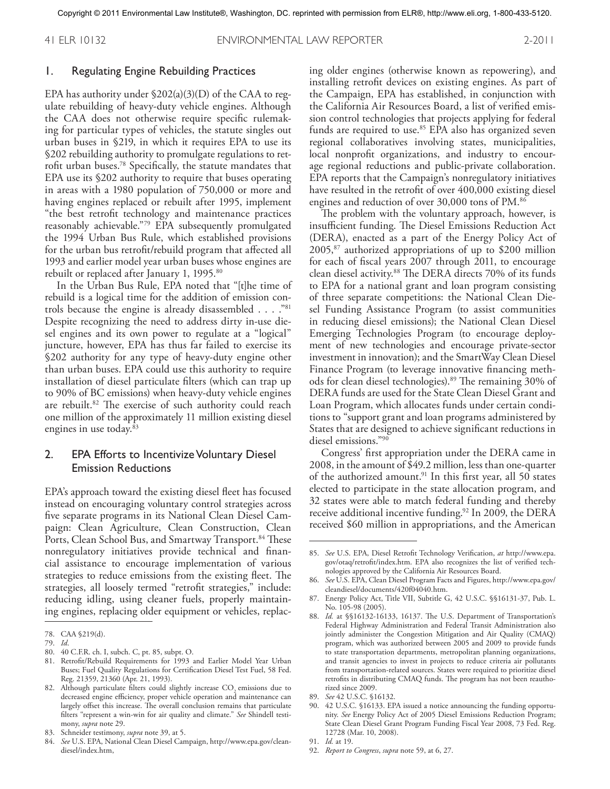#### 1. Regulating Engine Rebuilding Practices

EPA has authority under  $$202(a)(3)(D)$  of the CAA to regulate rebuilding of heavy-duty vehicle engines. Although the CAA does not otherwise require specific rulemaking for particular types of vehicles, the statute singles out urban buses in §219, in which it requires EPA to use its §202 rebuilding authority to promulgate regulations to retrofit urban buses. 78 Specifically, the statute mandates that EPA use its §202 authority to require that buses operating in areas with a 1980 population of 750,000 or more and having engines replaced or rebuilt after 1995, implement "the best retrofit technology and maintenance practices reasonably achievable."79 EPA subsequently promulgated the 1994 Urban Bus Rule, which established provisions for the urban bus retrofit/rebuild program that affected all 1993 and earlier model year urban buses whose engines are rebuilt or replaced after January 1, 1995. 80

In the Urban Bus Rule, EPA noted that "[t]he time of rebuild is a logical time for the addition of emission controls because the engine is already disassembled . . . . "81 Despite recognizing the need to address dirty in-use diesel engines and its own power to regulate at a "logical" juncture, however, EPA has thus far failed to exercise its §202 authority for any type of heavy-duty engine other than urban buses. EPA could use this authority to require installation of diesel particulate filters (which can trap up to 90% of BC emissions) when heavy-duty vehicle engines are rebuilt. 82 The exercise of such authority could reach one million of the approximately 11 million existing diesel engines in use today. 83

# 2. EPA Efforts to Incentivize Voluntary Diesel Emission Reductions

EPA's approach toward the existing diesel fleet has focused instead on encouraging voluntary control strategies across five separate programs in its National Clean Diesel Campaign: Clean Agriculture, Clean Construction, Clean Ports, Clean School Bus, and Smartway Transport. 84 These nonregulatory initiatives provide technical and financial assistance to encourage implementation of various strategies to reduce emissions from the existing fleet. The strategies, all loosely termed "retrofit strategies," include: reducing idling, using cleaner fuels, properly maintaining engines, replacing older equipment or vehicles, replac-

- 80. 40 C.F.R. ch. I, subch. C, pt. 85, subpt. O.
- 81. Retrofit/Rebuild Requirements for 1993 and Earlier Model Year Urban Buses; Fuel Quality Regulations for Certification Diesel Test Fuel, 58 Fed. Reg. 21359, 21360 (Apr. 21, 1993).
- 82. Although particulate filters could slightly increase CO<sub>2</sub> emissions due to decreased engine efficiency, proper vehicle operation and maintenance can largely offset this increase. The overall conclusion remains that particulate filters "represent a win-win for air quality and climate." *See* Shindell testimony, *supra* note 29.
- 83. Schneider testimony, *supra* note 39, at 5.
- 84. *See* U.S. EPA, National Clean Diesel Campaign, http://www.epa.gov/cleandiesel/index.htm,

ing older engines (otherwise known as repowering), and installing retrofit devices on existing engines. As part of the Campaign, EPA has established, in conjunction with the California Air Resources Board, a list of verified emission control technologies that projects applying for federal funds are required to use. 85 EPA also has organized seven regional collaboratives involving states, municipalities, local nonprofit organizations, and industry to encourage regional reductions and public-private collaboration. EPA reports that the Campaign's nonregulatory initiatives have resulted in the retrofit of over 400,000 existing diesel engines and reduction of over 30,000 tons of PM. 86

The problem with the voluntary approach, however, is insufficient funding. The Diesel Emissions Reduction Act (DERA), enacted as a part of the Energy Policy Act of 2005,87 authorized appropriations of up to \$200 million for each of fiscal years 2007 through 2011, to encourage clean diesel activity. 88 The DERA directs 70% of its funds to EPA for a national grant and loan program consisting of three separate competitions: the National Clean Diesel Funding Assistance Program (to assist communities in reducing diesel emissions); the National Clean Diesel Emerging Technologies Program (to encourage deployment of new technologies and encourage private-sector investment in innovation); and the SmartWay Clean Diesel Finance Program (to leverage innovative financing methods for clean diesel technologies). 89 The remaining 30% of DERA funds are used for the State Clean Diesel Grant and Loan Program, which allocates funds under certain conditions to "support grant and loan programs administered by States that are designed to achieve significant reductions in diesel emissions."90

Congress' first appropriation under the DERA came in 2008, in the amount of \$49.2 million, less than one-quarter of the authorized amount. 91 In this first year, all 50 states elected to participate in the state allocation program, and 32 states were able to match federal funding and thereby receive additional incentive funding. 92 In 2009, the DERA received \$60 million in appropriations, and the American

92. *Report to Congress*, *supra* note 59, at 6, 27.

<sup>78.</sup> CAA §219(d).

<sup>79.</sup> *Id*.

<sup>85.</sup> *See* U.S. EPA, Diesel Retrofit Technology Verification, *at* http://www.epa. gov/otaq/retrofit/index.htm. EPA also recognizes the list of verified technologies approved by the California Air Resources Board.

<sup>86.</sup> *See* U.S. EPA, Clean Diesel Program Facts and Figures, http://www.epa.gov/ cleandiesel/documents/420f04040.htm.

<sup>87.</sup> Energy Policy Act, Title VII, Subtitle G, 42 U.S.C. §§16131-37, Pub. L. No. 105-98 (2005).

<sup>88.</sup> *Id.* at §§16132-16133, 16137. The U.S. Department of Transportation's Federal Highway Administration and Federal Transit Administration also jointly administer the Congestion Mitigation and Air Quality (CMAQ) program, which was authorized between 2005 and 2009 to provide funds to state transportation departments, metropolitan planning organizations, and transit agencies to invest in projects to reduce criteria air pollutants from transportation-related sources. States were required to prioritize diesel retrofits in distributing CMAQ funds. The program has not been reauthorized since 2009.

<sup>89.</sup> *See* 42 U.S.C. §16132.

<sup>90.</sup> 42 U.S.C. §16133. EPA issued a notice announcing the funding opportunity. *See* Energy Policy Act of 2005 Diesel Emissions Reduction Program; State Clean Diesel Grant Program Funding Fiscal Year 2008, 73 Fed. Reg. 12728 (Mar. 10, 2008).

<sup>91.</sup> *Id.* at 19.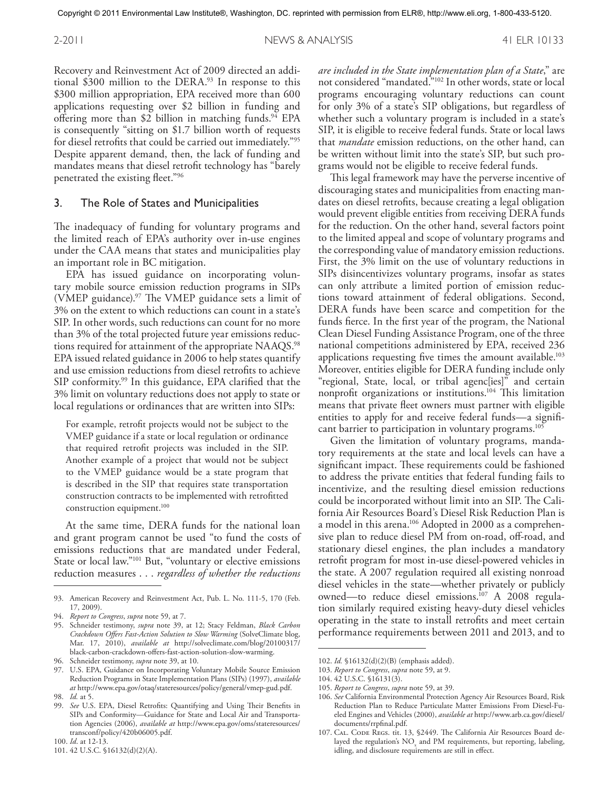Recovery and Reinvestment Act of 2009 directed an additional \$300 million to the DERA. 93 In response to this \$300 million appropriation, EPA received more than 600 applications requesting over \$2 billion in funding and offering more than \$2 billion in matching funds. 94 EPA is consequently "sitting on \$1.7 billion worth of requests for diesel retrofits that could be carried out immediately."95 Despite apparent demand, then, the lack of funding and mandates means that diesel retrofit technology has "barely penetrated the existing fleet."96

#### 3. The Role of States and Municipalities

The inadequacy of funding for voluntary programs and the limited reach of EPA's authority over in-use engines under the CAA means that states and municipalities play an important role in BC mitigation.

EPA has issued guidance on incorporating voluntary mobile source emission reduction programs in SIPs (VMEP guidance). 97 The VMEP guidance sets a limit of 3% on the extent to which reductions can count in a state's SIP. In other words, such reductions can count for no more than 3% of the total projected future year emissions reductions required for attainment of the appropriate NAAQS.<sup>98</sup> EPA issued related guidance in 2006 to help states quantify and use emission reductions from diesel retrofits to achieve SIP conformity.<sup>99</sup> In this guidance, EPA clarified that the 3% limit on voluntary reductions does not apply to state or local regulations or ordinances that are written into SIPs:

For example, retrofit projects would not be subject to the VMEP guidance if a state or local regulation or ordinance that required retrofit projects was included in the SIP. Another example of a project that would not be subject to the VMEP guidance would be a state program that is described in the SIP that requires state transportation construction contracts to be implemented with retrofitted construction equipment. 100

At the same time, DERA funds for the national loan and grant program cannot be used "to fund the costs of emissions reductions that are mandated under Federal, State or local law."101 But, "voluntary or elective emissions reduction measures ... *regardless of whether the reductions* 

*are included in the State implementation plan of a State*," are not considered "mandated."102 In other words, state or local programs encouraging voluntary reductions can count for only 3% of a state's SIP obligations, but regardless of whether such a voluntary program is included in a state's SIP, it is eligible to receive federal funds. State or local laws that *mandate* emission reductions, on the other hand, can be written without limit into the state's SIP, but such programs would not be eligible to receive federal funds.

This legal framework may have the perverse incentive of discouraging states and municipalities from enacting mandates on diesel retrofits, because creating a legal obligation would prevent eligible entities from receiving DERA funds for the reduction. On the other hand, several factors point to the limited appeal and scope of voluntary programs and the corresponding value of mandatory emission reductions. First, the 3% limit on the use of voluntary reductions in SIPs disincentivizes voluntary programs, insofar as states can only attribute a limited portion of emission reductions toward attainment of federal obligations. Second, DERA funds have been scarce and competition for the funds fierce. In the first year of the program, the National Clean Diesel Funding Assistance Program, one of the three national competitions administered by EPA, received 236 applications requesting five times the amount available. 103 Moreover, entities eligible for DERA funding include only "regional, State, local, or tribal agenc[ies]" and certain nonprofit organizations or institutions. 104 This limitation means that private fleet owners must partner with eligible entities to apply for and receive federal funds—a significant barrier to participation in voluntary programs. 105

Given the limitation of voluntary programs, mandatory requirements at the state and local levels can have a significant impact. These requirements could be fashioned to address the private entities that federal funding fails to incentivize, and the resulting diesel emission reductions could be incorporated without limit into an SIP. The California Air Resources Board's Diesel Risk Reduction Plan is a model in this arena. 106 Adopted in 2000 as a comprehensive plan to reduce diesel PM from on-road, off-road, and stationary diesel engines, the plan includes a mandatory retrofit program for most in-use diesel-powered vehicles in the state. A 2007 regulation required all existing nonroad diesel vehicles in the state—whether privately or publicly owned—to reduce diesel emissions. 107 A 2008 regulation similarly required existing heavy-duty diesel vehicles operating in the state to install retrofits and meet certain performance requirements between 2011 and 2013, and to

<sup>93.</sup> American Recovery and Reinvestment Act, Pub. L. No. 111-5, 170 (Feb. 17, 2009).

<sup>94.</sup> *Report to Congress*, *supra* note 59, at 7.

<sup>95.</sup> Schneider testimony, *supra* note 39, at 12; Stacy Feldman, *Black Carbon Crackdown Offers Fast-Action Solution to Slow Warming* (SolveClimate blog, Mar. 17, 2010), *available at* http://solveclimate.com/blog/20100317/ black-carbon-crackdown-offers-fast-action-solution-slow-warming.

<sup>96.</sup> Schneider testimony, *supra* note 39, at 10.

<sup>97.</sup> U.S. EPA, Guidance on Incorporating Voluntary Mobile Source Emission Reduction Programs in State Implementation Plans (SIPs) (1997), *available at* http://www.epa.gov/otaq/stateresources/policy/general/vmep-gud.pdf. 98. *Id.* at 5.

<sup>99.</sup> *See* U.S. EPA, Diesel Retrofits: Quantifying and Using Their Benefits in SIPs and Conformity—Guidance for State and Local Air and Transportation Agencies (2006), *available at* http://www.epa.gov/oms/stateresources/ transconf/policy/420b06005.pdf.

<sup>100.</sup> *Id*. at 12-13.

<sup>101.</sup> 42 U.S.C. §16132(d)(2)(A).

<sup>102.</sup> *Id.* §16132(d)(2)(B) (emphasis added).

<sup>103.</sup> *Report to Congress*, *supra* note 59, at 9.

<sup>104.</sup> 42 U.S.C. §16131(3).

<sup>105.</sup> *Report to Congress*, *supra* note 59, at 39.

<sup>106.</sup> *See* California Environmental Protection Agency Air Resources Board, Risk Reduction Plan to Reduce Particulate Matter Emissions From Diesel-Fueled Engines and Vehicles (2000), *available at* http://www.arb.ca.gov/diesel/ documents/rrpfinal.pdf.

<sup>107.</sup> CAL. CODE REGS. tit. 13, §2449. The California Air Resources Board delayed the regulation's  $\rm NO_{x}$  and PM requirements, but reporting, labeling, idling, and disclosure requirements are still in effect.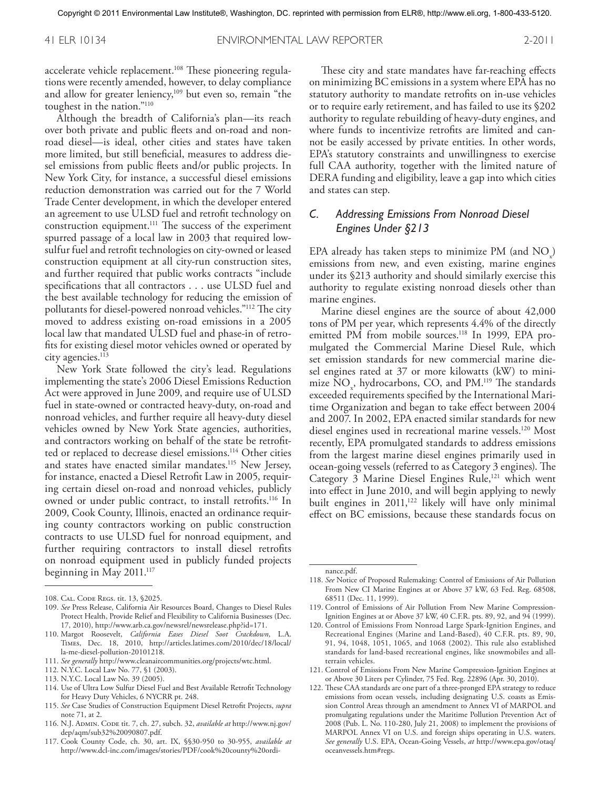accelerate vehicle replacement. 108 These pioneering regulations were recently amended, however, to delay compliance and allow for greater leniency,<sup>109</sup> but even so, remain "the toughest in the nation."110

Although the breadth of California's plan—its reach over both private and public fleets and on-road and nonroad diesel—is ideal, other cities and states have taken more limited, but still beneficial, measures to address diesel emissions from public fleets and/or public projects. In New York City, for instance, a successful diesel emissions reduction demonstration was carried out for the 7 World Trade Center development, in which the developer entered an agreement to use ULSD fuel and retrofit technology on construction equipment. 111 The success of the experiment spurred passage of a local law in 2003 that required lowsulfur fuel and retrofit technologies on city-owned or leased construction equipment at all city-run construction sites, and further required that public works contracts "include specifications that all contractors ... use ULSD fuel and the best available technology for reducing the emission of pollutants for diesel-powered nonroad vehicles."112 The city moved to address existing on-road emissions in a 2005 local law that mandated ULSD fuel and phase-in of retrofits for existing diesel motor vehicles owned or operated by city agencies. 113

New York State followed the city's lead. Regulations implementing the state's 2006 Diesel Emissions Reduction Act were approved in June 2009, and require use of ULSD fuel in state-owned or contracted heavy-duty, on-road and nonroad vehicles, and further require all heavy-duty diesel vehicles owned by New York State agencies, authorities, and contractors working on behalf of the state be retrofitted or replaced to decrease diesel emissions. 114 Other cities and states have enacted similar mandates. 115 New Jersey, for instance, enacted a Diesel Retrofit Law in 2005, requiring certain diesel on-road and nonroad vehicles, publicly owned or under public contract, to install retrofits. 116 In 2009, Cook County, Illinois, enacted an ordinance requiring county contractors working on public construction contracts to use ULSD fuel for nonroad equipment, and further requiring contractors to install diesel retrofits on nonroad equipment used in publicly funded projects beginning in May 2011. 117

- 112. N.Y.C. Local Law No. 77, §1 (2003).
- 113. N.Y.C. Local Law No. 39 (2005).
- 114. Use of Ultra Low Sulfur Diesel Fuel and Best Available Retrofit Technology for Heavy Duty Vehicles, 6 NYCRR pt. 248.
- 115. *See* Case Studies of Construction Equipment Diesel Retrofit Projects, *supra*  note 71, at 2.
- 116. N.J. Admin. Code tit. 7, ch. 27, subch. 32, *available at* http://www.nj.gov/ dep/aqm/sub32%20090807.pdf.
- 117. Cook County Code, ch. 30, art. IX, §§30-950 to 30-955, *available at*  http://www.dcl-inc.com/images/stories/PDF/cook%20county%20ordi-

These city and state mandates have far-reaching effects on minimizing BC emissions in a system where EPA has no statutory authority to mandate retrofits on in-use vehicles or to require early retirement, and has failed to use its §202 authority to regulate rebuilding of heavy-duty engines, and where funds to incentivize retrofits are limited and cannot be easily accessed by private entities. In other words, EPA's statutory constraints and unwillingness to exercise full CAA authority, together with the limited nature of DERA funding and eligibility, leave a gap into which cities and states can step.

# *C. Addressing Emissions From Nonroad Diesel Engines Under §213*

EPA already has taken steps to minimize PM (and  $NO_x$ ) emissions from new, and even existing, marine engines under its §213 authority and should similarly exercise this authority to regulate existing nonroad diesels other than marine engines.

Marine diesel engines are the source of about 42,000 tons of PM per year, which represents 4.4% of the directly emitted PM from mobile sources. 118 In 1999, EPA promulgated the Commercial Marine Diesel Rule, which set emission standards for new commercial marine diesel engines rated at 37 or more kilowatts (kW) to minimize  $NO_x$ , hydrocarbons, CO, and  $PM$ .<sup>119</sup> The standards exceeded requirements specified by the International Maritime Organization and began to take effect between 2004 and 2007. In 2002, EPA enacted similar standards for new diesel engines used in recreational marine vessels. 120 Most recently, EPA promulgated standards to address emissions from the largest marine diesel engines primarily used in ocean-going vessels (referred to as Category 3 engines). The Category 3 Marine Diesel Engines Rule,<sup>121</sup> which went into effect in June 2010, and will begin applying to newly built engines in  $2011$ ,<sup>122</sup> likely will have only minimal effect on BC emissions, because these standards focus on

- 121. Control of Emissions From New Marine Compression-Ignition Engines at or Above 30 Liters per Cylinder, 75 Fed. Reg. 22896 (Apr. 30, 2010).
- 122. These CAA standards are one part of a three-pronged EPA strategy to reduce emissions from ocean vessels, including designating U.S. coasts as Emission Control Areas through an amendment to Annex VI of MARPOL and promulgating regulations under the Maritime Pollution Prevention Act of 2008 (Pub. L. No. 110-280, July 21, 2008) to implement the provisions of MARPOL Annex VI on U.S. and foreign ships operating in U.S. waters. *See generally* U.S. EPA, Ocean-Going Vessels, *at* http://www.epa.gov/otaq/ oceanvessels.htm#regs.

<sup>108.</sup> Cal. Code Regs. tit. 13, §2025.

<sup>109.</sup> *See* Press Release, California Air Resources Board, Changes to Diesel Rules Protect Health, Provide Relief and Flexibility to California Businesses (Dec. 17, 2010), http://www.arb.ca.gov/newsrel/newsrelease.php?id=171.

<sup>110.</sup> Margot Roosevelt, *California Eases Diesel Soot Crackdown*, L.A. Times, Dec. 18, 2010, http://articles.latimes.com/2010/dec/18/local/ la-me-diesel-pollution-20101218.

<sup>111.</sup> *See generally* http://www.cleanaircommunities.org/projects/wtc.html.

nance.pdf.

<sup>118.</sup> *See* Notice of Proposed Rulemaking: Control of Emissions of Air Pollution From New CI Marine Engines at or Above 37 kW, 63 Fed. Reg. 68508, 68511 (Dec. 11, 1999).

<sup>119.</sup> Control of Emissions of Air Pollution From New Marine Compression-Ignition Engines at or Above 37 kW, 40 C.F.R. pts. 89, 92, and 94 (1999).

<sup>120.</sup> Control of Emissions From Nonroad Large Spark-Ignition Engines, and Recreational Engines (Marine and Land-Based), 40 C.F.R. pts. 89, 90, 91, 94, 1048, 1051, 1065, and 1068 (2002). This rule also established standards for land-based recreational engines, like snowmobiles and allterrain vehicles.